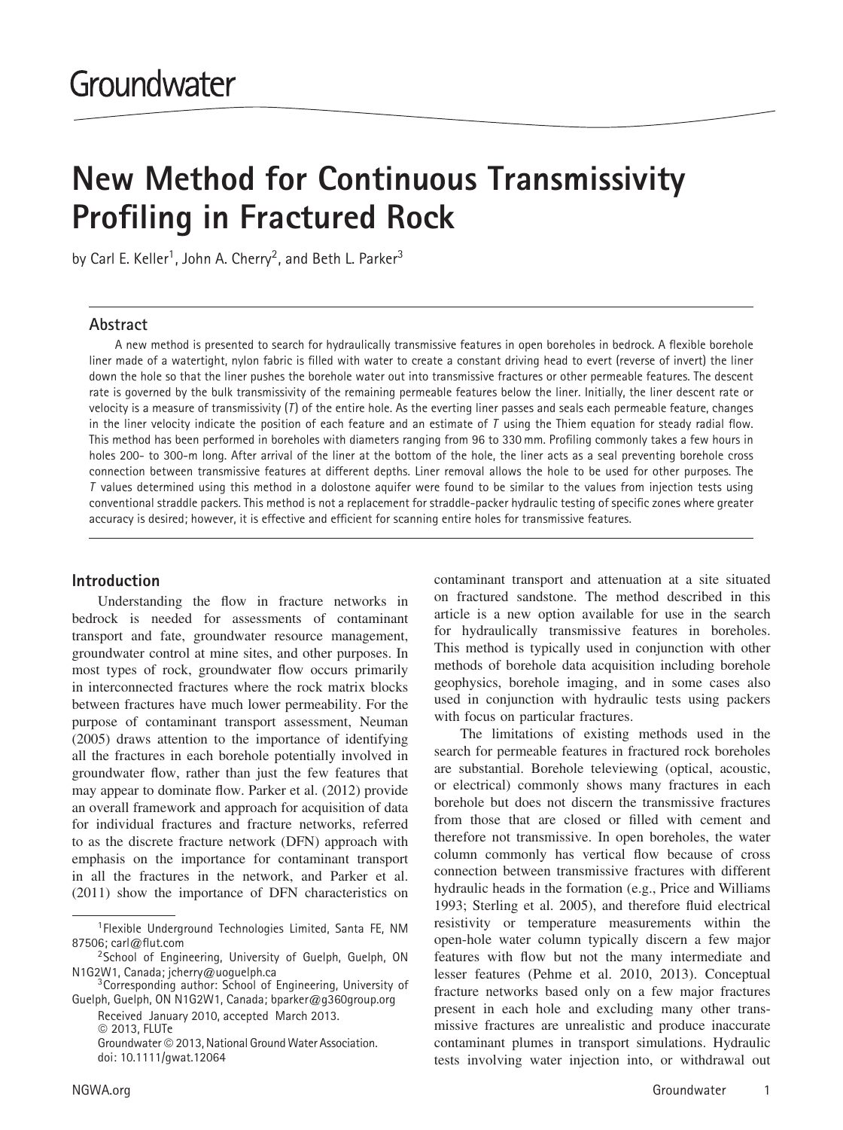# **New Method for Continuous Transmissivity Profiling in Fractured Rock**

by Carl E. Keller<sup>1</sup>, John A. Cherry<sup>2</sup>, and Beth L. Parker<sup>3</sup>

#### **Abstract**

A new method is presented to search for hydraulically transmissive features in open boreholes in bedrock. A flexible borehole liner made of a watertight, nylon fabric is filled with water to create a constant driving head to evert (reverse of invert) the liner down the hole so that the liner pushes the borehole water out into transmissive fractures or other permeable features. The descent rate is governed by the bulk transmissivity of the remaining permeable features below the liner. Initially, the liner descent rate or velocity is a measure of transmissivity (*T* ) of the entire hole. As the everting liner passes and seals each permeable feature, changes in the liner velocity indicate the position of each feature and an estimate of *T* using the Thiem equation for steady radial flow. This method has been performed in boreholes with diameters ranging from 96 to 330 mm. Profiling commonly takes a few hours in holes 200- to 300-m long. After arrival of the liner at the bottom of the hole, the liner acts as a seal preventing borehole cross connection between transmissive features at different depths. Liner removal allows the hole to be used for other purposes. The *T* values determined using this method in a dolostone aquifer were found to be similar to the values from injection tests using conventional straddle packers. This method is not a replacement for straddle-packer hydraulic testing of specific zones where greater accuracy is desired; however, it is effective and efficient for scanning entire holes for transmissive features.

# **Introduction**

Understanding the flow in fracture networks in bedrock is needed for assessments of contaminant transport and fate, groundwater resource management, groundwater control at mine sites, and other purposes. In most types of rock, groundwater flow occurs primarily in interconnected fractures where the rock matrix blocks between fractures have much lower permeability. For the purpose of contaminant transport assessment, Neuman (2005) draws attention to the importance of identifying all the fractures in each borehole potentially involved in groundwater flow, rather than just the few features that may appear to dominate flow. Parker et al. (2012) provide an overall framework and approach for acquisition of data for individual fractures and fracture networks, referred to as the discrete fracture network (DFN) approach with emphasis on the importance for contaminant transport in all the fractures in the network, and Parker et al. (2011) show the importance of DFN characteristics on contaminant transport and attenuation at a site situated on fractured sandstone. The method described in this article is a new option available for use in the search for hydraulically transmissive features in boreholes. This method is typically used in conjunction with other methods of borehole data acquisition including borehole geophysics, borehole imaging, and in some cases also used in conjunction with hydraulic tests using packers with focus on particular fractures.

The limitations of existing methods used in the search for permeable features in fractured rock boreholes are substantial. Borehole televiewing (optical, acoustic, or electrical) commonly shows many fractures in each borehole but does not discern the transmissive fractures from those that are closed or filled with cement and therefore not transmissive. In open boreholes, the water column commonly has vertical flow because of cross connection between transmissive fractures with different hydraulic heads in the formation (e.g., Price and Williams 1993; Sterling et al. 2005), and therefore fluid electrical resistivity or temperature measurements within the open-hole water column typically discern a few major features with flow but not the many intermediate and lesser features (Pehme et al. 2010, 2013). Conceptual fracture networks based only on a few major fractures present in each hole and excluding many other transmissive fractures are unrealistic and produce inaccurate contaminant plumes in transport simulations. Hydraulic tests involving water injection into, or withdrawal out

<sup>&</sup>lt;sup>1</sup>Flexible Underground Technologies Limited, Santa FE, NM 87506; carl@flut.com

<sup>&</sup>lt;sup>2</sup>School of Engineering, University of Guelph, Guelph, ON N1G2W1, Canada; jcherry@uoguelph.ca<br><sup>3</sup>Corresponding author: School of Engineering, University of

Guelph, Guelph, ON N1G2W1, Canada; bparker@g360group.org

Received January 2010, accepted March 2013. © 2013, FLUTe Groundwater©2013, National GroundWater Association.

doi: 10.1111/gwat.12064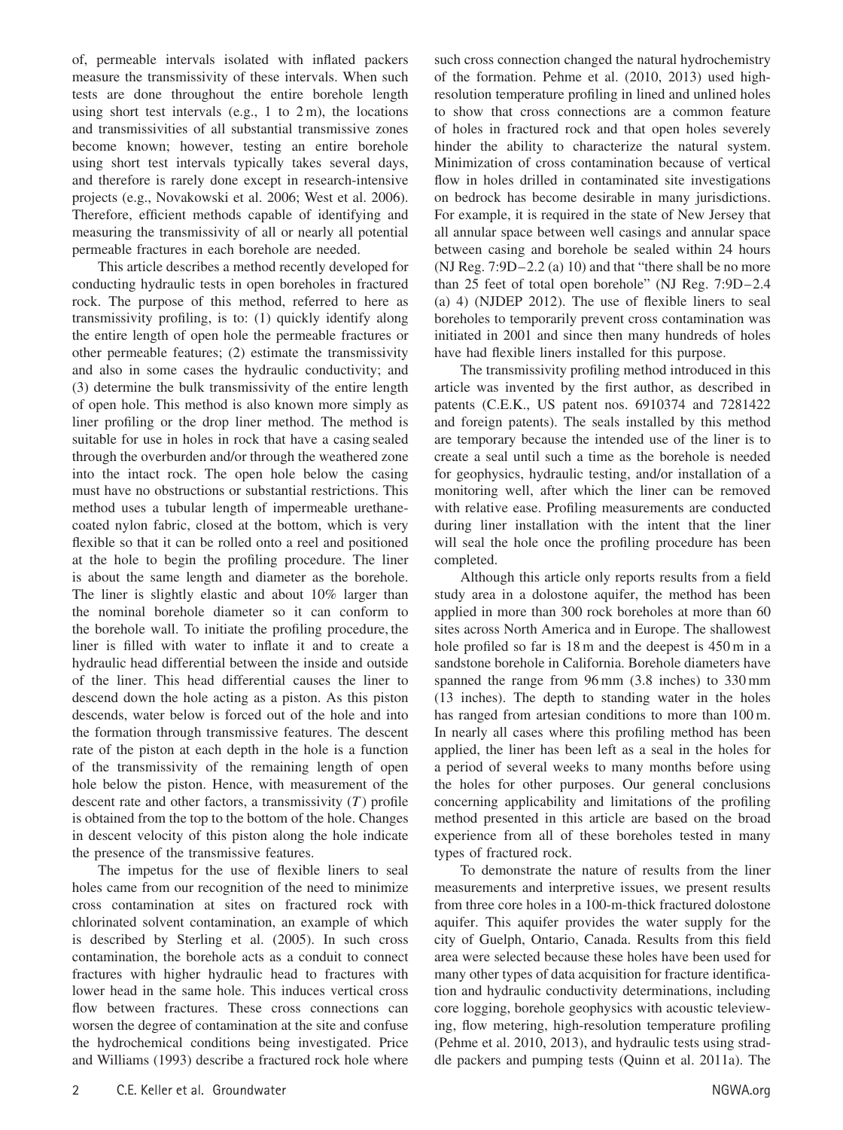of, permeable intervals isolated with inflated packers measure the transmissivity of these intervals. When such tests are done throughout the entire borehole length using short test intervals (e.g.,  $1$  to  $2 \text{ m}$ ), the locations and transmissivities of all substantial transmissive zones become known; however, testing an entire borehole using short test intervals typically takes several days, and therefore is rarely done except in research-intensive projects (e.g., Novakowski et al. 2006; West et al. 2006). Therefore, efficient methods capable of identifying and measuring the transmissivity of all or nearly all potential permeable fractures in each borehole are needed.

This article describes a method recently developed for conducting hydraulic tests in open boreholes in fractured rock. The purpose of this method, referred to here as transmissivity profiling, is to: (1) quickly identify along the entire length of open hole the permeable fractures or other permeable features; (2) estimate the transmissivity and also in some cases the hydraulic conductivity; and (3) determine the bulk transmissivity of the entire length of open hole. This method is also known more simply as liner profiling or the drop liner method. The method is suitable for use in holes in rock that have a casing sealed through the overburden and/or through the weathered zone into the intact rock. The open hole below the casing must have no obstructions or substantial restrictions. This method uses a tubular length of impermeable urethanecoated nylon fabric, closed at the bottom, which is very flexible so that it can be rolled onto a reel and positioned at the hole to begin the profiling procedure. The liner is about the same length and diameter as the borehole. The liner is slightly elastic and about 10% larger than the nominal borehole diameter so it can conform to the borehole wall. To initiate the profiling procedure, the liner is filled with water to inflate it and to create a hydraulic head differential between the inside and outside of the liner. This head differential causes the liner to descend down the hole acting as a piston. As this piston descends, water below is forced out of the hole and into the formation through transmissive features. The descent rate of the piston at each depth in the hole is a function of the transmissivity of the remaining length of open hole below the piston. Hence, with measurement of the descent rate and other factors, a transmissivity (*T*) profile is obtained from the top to the bottom of the hole. Changes in descent velocity of this piston along the hole indicate the presence of the transmissive features.

The impetus for the use of flexible liners to seal holes came from our recognition of the need to minimize cross contamination at sites on fractured rock with chlorinated solvent contamination, an example of which is described by Sterling et al. (2005). In such cross contamination, the borehole acts as a conduit to connect fractures with higher hydraulic head to fractures with lower head in the same hole. This induces vertical cross flow between fractures. These cross connections can worsen the degree of contamination at the site and confuse the hydrochemical conditions being investigated. Price and Williams (1993) describe a fractured rock hole where such cross connection changed the natural hydrochemistry of the formation. Pehme et al. (2010, 2013) used highresolution temperature profiling in lined and unlined holes to show that cross connections are a common feature of holes in fractured rock and that open holes severely hinder the ability to characterize the natural system. Minimization of cross contamination because of vertical flow in holes drilled in contaminated site investigations on bedrock has become desirable in many jurisdictions. For example, it is required in the state of New Jersey that all annular space between well casings and annular space between casing and borehole be sealed within 24 hours (NJ Reg. 7:9D–2.2 (a) 10) and that "there shall be no more than 25 feet of total open borehole" (NJ Reg. 7:9D–2.4 (a) 4) (NJDEP 2012). The use of flexible liners to seal boreholes to temporarily prevent cross contamination was initiated in 2001 and since then many hundreds of holes have had flexible liners installed for this purpose.

The transmissivity profiling method introduced in this article was invented by the first author, as described in patents (C.E.K., US patent nos. 6910374 and 7281422 and foreign patents). The seals installed by this method are temporary because the intended use of the liner is to create a seal until such a time as the borehole is needed for geophysics, hydraulic testing, and/or installation of a monitoring well, after which the liner can be removed with relative ease. Profiling measurements are conducted during liner installation with the intent that the liner will seal the hole once the profiling procedure has been completed.

Although this article only reports results from a field study area in a dolostone aquifer, the method has been applied in more than 300 rock boreholes at more than 60 sites across North America and in Europe. The shallowest hole profiled so far is 18 m and the deepest is  $450 \text{ m}$  in a sandstone borehole in California. Borehole diameters have spanned the range from 96 mm (3.8 inches) to 330 mm (13 inches). The depth to standing water in the holes has ranged from artesian conditions to more than 100 m. In nearly all cases where this profiling method has been applied, the liner has been left as a seal in the holes for a period of several weeks to many months before using the holes for other purposes. Our general conclusions concerning applicability and limitations of the profiling method presented in this article are based on the broad experience from all of these boreholes tested in many types of fractured rock.

To demonstrate the nature of results from the liner measurements and interpretive issues, we present results from three core holes in a 100-m-thick fractured dolostone aquifer. This aquifer provides the water supply for the city of Guelph, Ontario, Canada. Results from this field area were selected because these holes have been used for many other types of data acquisition for fracture identification and hydraulic conductivity determinations, including core logging, borehole geophysics with acoustic televiewing, flow metering, high-resolution temperature profiling (Pehme et al. 2010, 2013), and hydraulic tests using straddle packers and pumping tests (Quinn et al. 2011a). The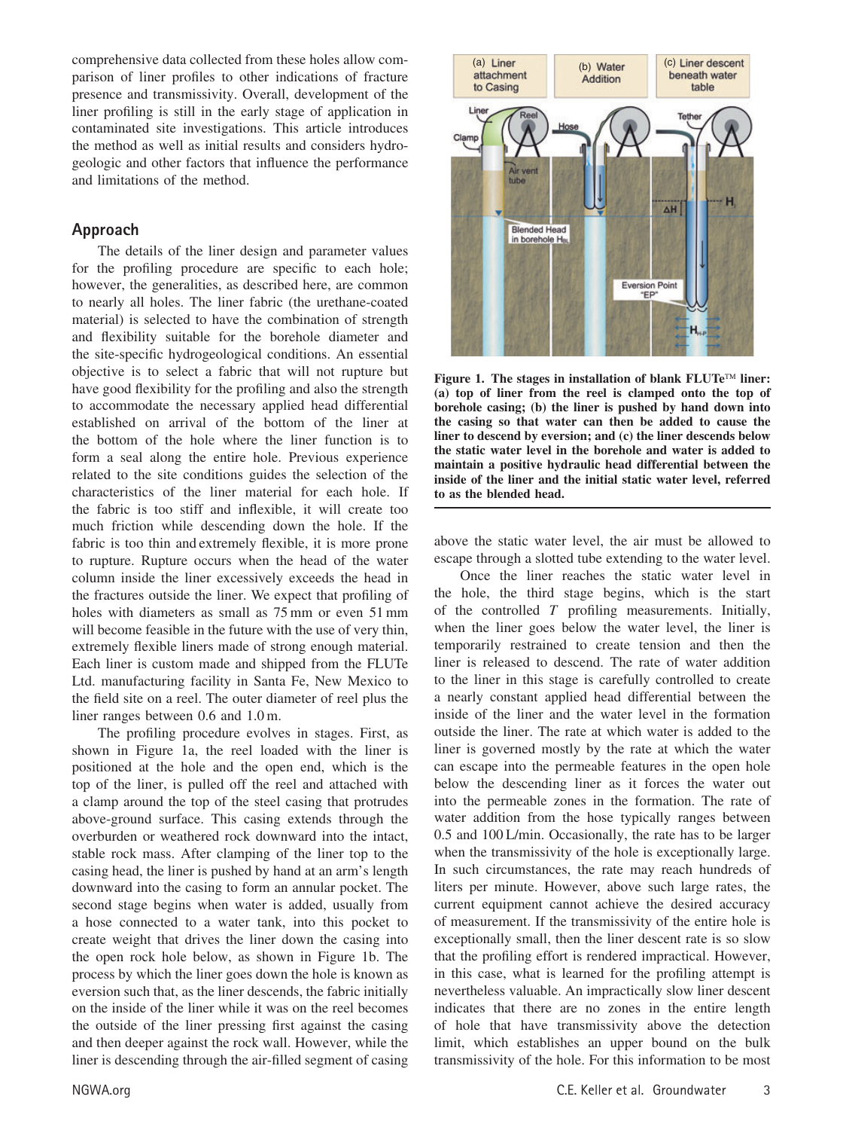comprehensive data collected from these holes allow comparison of liner profiles to other indications of fracture presence and transmissivity. Overall, development of the liner profiling is still in the early stage of application in contaminated site investigations. This article introduces the method as well as initial results and considers hydrogeologic and other factors that influence the performance and limitations of the method.

# **Approach**

The details of the liner design and parameter values for the profiling procedure are specific to each hole; however, the generalities, as described here, are common to nearly all holes. The liner fabric (the urethane-coated material) is selected to have the combination of strength and flexibility suitable for the borehole diameter and the site-specific hydrogeological conditions. An essential objective is to select a fabric that will not rupture but have good flexibility for the profiling and also the strength to accommodate the necessary applied head differential established on arrival of the bottom of the liner at the bottom of the hole where the liner function is to form a seal along the entire hole. Previous experience related to the site conditions guides the selection of the characteristics of the liner material for each hole. If the fabric is too stiff and inflexible, it will create too much friction while descending down the hole. If the fabric is too thin and extremely flexible, it is more prone to rupture. Rupture occurs when the head of the water column inside the liner excessively exceeds the head in the fractures outside the liner. We expect that profiling of holes with diameters as small as 75 mm or even 51 mm will become feasible in the future with the use of very thin, extremely flexible liners made of strong enough material. Each liner is custom made and shipped from the FLUTe Ltd. manufacturing facility in Santa Fe, New Mexico to the field site on a reel. The outer diameter of reel plus the liner ranges between 0.6 and 1.0 m.

The profiling procedure evolves in stages. First, as shown in Figure 1a, the reel loaded with the liner is positioned at the hole and the open end, which is the top of the liner, is pulled off the reel and attached with a clamp around the top of the steel casing that protrudes above-ground surface. This casing extends through the overburden or weathered rock downward into the intact, stable rock mass. After clamping of the liner top to the casing head, the liner is pushed by hand at an arm's length downward into the casing to form an annular pocket. The second stage begins when water is added, usually from a hose connected to a water tank, into this pocket to create weight that drives the liner down the casing into the open rock hole below, as shown in Figure 1b. The process by which the liner goes down the hole is known as eversion such that, as the liner descends, the fabric initially on the inside of the liner while it was on the reel becomes the outside of the liner pressing first against the casing and then deeper against the rock wall. However, while the liner is descending through the air-filled segment of casing



**Figure 1. The stages in installation of blank FLUTe**™ **liner: (a) top of liner from the reel is clamped onto the top of borehole casing; (b) the liner is pushed by hand down into the casing so that water can then be added to cause the liner to descend by eversion; and (c) the liner descends below the static water level in the borehole and water is added to maintain a positive hydraulic head differential between the inside of the liner and the initial static water level, referred to as the blended head.**

above the static water level, the air must be allowed to escape through a slotted tube extending to the water level.

Once the liner reaches the static water level in the hole, the third stage begins, which is the start of the controlled *T* profiling measurements. Initially, when the liner goes below the water level, the liner is temporarily restrained to create tension and then the liner is released to descend. The rate of water addition to the liner in this stage is carefully controlled to create a nearly constant applied head differential between the inside of the liner and the water level in the formation outside the liner. The rate at which water is added to the liner is governed mostly by the rate at which the water can escape into the permeable features in the open hole below the descending liner as it forces the water out into the permeable zones in the formation. The rate of water addition from the hose typically ranges between 0.5 and 100 L/min. Occasionally, the rate has to be larger when the transmissivity of the hole is exceptionally large. In such circumstances, the rate may reach hundreds of liters per minute. However, above such large rates, the current equipment cannot achieve the desired accuracy of measurement. If the transmissivity of the entire hole is exceptionally small, then the liner descent rate is so slow that the profiling effort is rendered impractical. However, in this case, what is learned for the profiling attempt is nevertheless valuable. An impractically slow liner descent indicates that there are no zones in the entire length of hole that have transmissivity above the detection limit, which establishes an upper bound on the bulk transmissivity of the hole. For this information to be most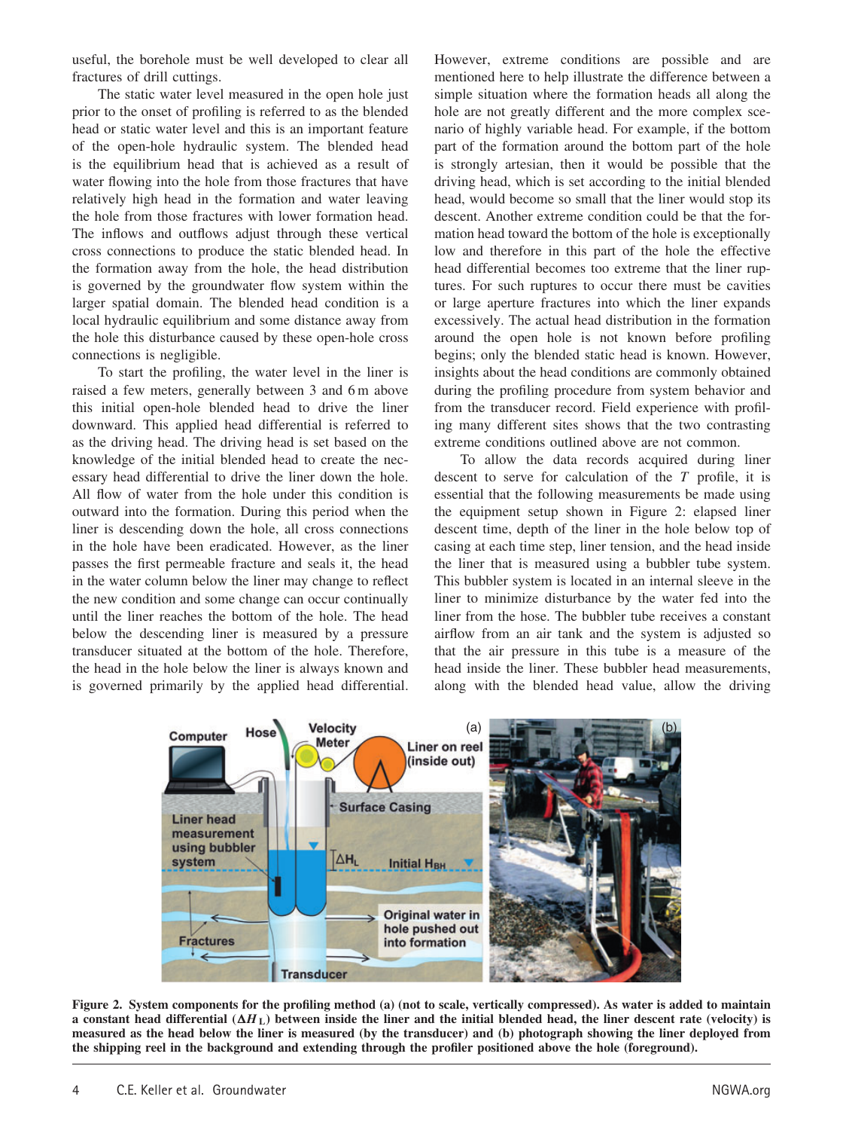useful, the borehole must be well developed to clear all fractures of drill cuttings.

The static water level measured in the open hole just prior to the onset of profiling is referred to as the blended head or static water level and this is an important feature of the open-hole hydraulic system. The blended head is the equilibrium head that is achieved as a result of water flowing into the hole from those fractures that have relatively high head in the formation and water leaving the hole from those fractures with lower formation head. The inflows and outflows adjust through these vertical cross connections to produce the static blended head. In the formation away from the hole, the head distribution is governed by the groundwater flow system within the larger spatial domain. The blended head condition is a local hydraulic equilibrium and some distance away from the hole this disturbance caused by these open-hole cross connections is negligible.

To start the profiling, the water level in the liner is raised a few meters, generally between 3 and 6 m above this initial open-hole blended head to drive the liner downward. This applied head differential is referred to as the driving head. The driving head is set based on the knowledge of the initial blended head to create the necessary head differential to drive the liner down the hole. All flow of water from the hole under this condition is outward into the formation. During this period when the liner is descending down the hole, all cross connections in the hole have been eradicated. However, as the liner passes the first permeable fracture and seals it, the head in the water column below the liner may change to reflect the new condition and some change can occur continually until the liner reaches the bottom of the hole. The head below the descending liner is measured by a pressure transducer situated at the bottom of the hole. Therefore, the head in the hole below the liner is always known and is governed primarily by the applied head differential. However, extreme conditions are possible and are mentioned here to help illustrate the difference between a simple situation where the formation heads all along the hole are not greatly different and the more complex scenario of highly variable head. For example, if the bottom part of the formation around the bottom part of the hole is strongly artesian, then it would be possible that the driving head, which is set according to the initial blended head, would become so small that the liner would stop its descent. Another extreme condition could be that the formation head toward the bottom of the hole is exceptionally low and therefore in this part of the hole the effective head differential becomes too extreme that the liner ruptures. For such ruptures to occur there must be cavities or large aperture fractures into which the liner expands excessively. The actual head distribution in the formation around the open hole is not known before profiling begins; only the blended static head is known. However, insights about the head conditions are commonly obtained during the profiling procedure from system behavior and from the transducer record. Field experience with profiling many different sites shows that the two contrasting extreme conditions outlined above are not common.

To allow the data records acquired during liner descent to serve for calculation of the *T* profile, it is essential that the following measurements be made using the equipment setup shown in Figure 2: elapsed liner descent time, depth of the liner in the hole below top of casing at each time step, liner tension, and the head inside the liner that is measured using a bubbler tube system. This bubbler system is located in an internal sleeve in the liner to minimize disturbance by the water fed into the liner from the hose. The bubbler tube receives a constant airflow from an air tank and the system is adjusted so that the air pressure in this tube is a measure of the head inside the liner. These bubbler head measurements, along with the blended head value, allow the driving



**Figure 2. System components for the profiling method (a) (not to scale, vertically compressed). As water is added to maintain a** constant head differential ( $\Delta H_{\rm L}$ ) between inside the liner and the initial blended head, the liner descent rate (velocity) is **measured as the head below the liner is measured (by the transducer) and (b) photograph showing the liner deployed from the shipping reel in the background and extending through the profiler positioned above the hole (foreground).**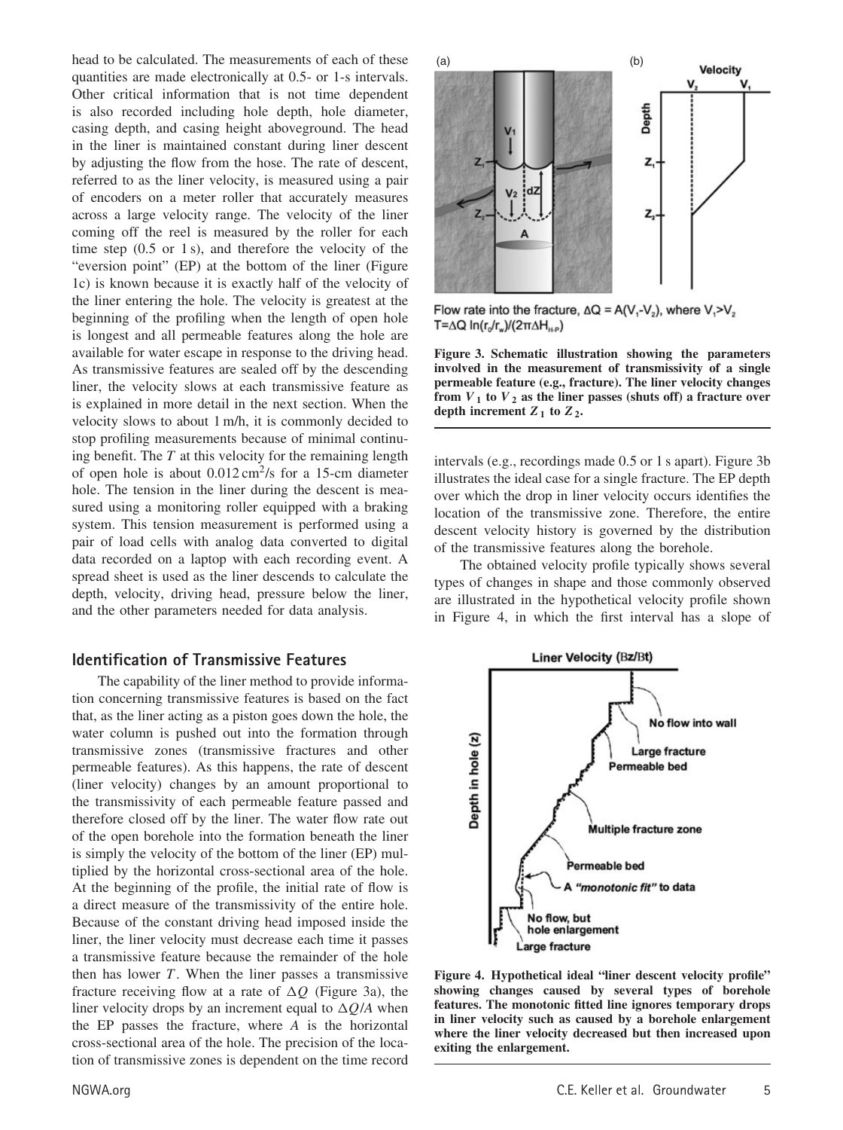head to be calculated. The measurements of each of these quantities are made electronically at 0.5- or 1-s intervals. Other critical information that is not time dependent is also recorded including hole depth, hole diameter, casing depth, and casing height aboveground. The head in the liner is maintained constant during liner descent by adjusting the flow from the hose. The rate of descent, referred to as the liner velocity, is measured using a pair of encoders on a meter roller that accurately measures across a large velocity range. The velocity of the liner coming off the reel is measured by the roller for each time step (0.5 or 1 s), and therefore the velocity of the "eversion point" (EP) at the bottom of the liner (Figure 1c) is known because it is exactly half of the velocity of the liner entering the hole. The velocity is greatest at the beginning of the profiling when the length of open hole is longest and all permeable features along the hole are available for water escape in response to the driving head. As transmissive features are sealed off by the descending liner, the velocity slows at each transmissive feature as is explained in more detail in the next section. When the velocity slows to about 1 m/h, it is commonly decided to stop profiling measurements because of minimal continuing benefit. The *T* at this velocity for the remaining length of open hole is about  $0.012 \text{ cm}^2/\text{s}$  for a 15-cm diameter hole. The tension in the liner during the descent is measured using a monitoring roller equipped with a braking system. This tension measurement is performed using a pair of load cells with analog data converted to digital data recorded on a laptop with each recording event. A spread sheet is used as the liner descends to calculate the depth, velocity, driving head, pressure below the liner, and the other parameters needed for data analysis.

# **Identification of Transmissive Features**

The capability of the liner method to provide information concerning transmissive features is based on the fact that, as the liner acting as a piston goes down the hole, the water column is pushed out into the formation through transmissive zones (transmissive fractures and other permeable features). As this happens, the rate of descent (liner velocity) changes by an amount proportional to the transmissivity of each permeable feature passed and therefore closed off by the liner. The water flow rate out of the open borehole into the formation beneath the liner is simply the velocity of the bottom of the liner (EP) multiplied by the horizontal cross-sectional area of the hole. At the beginning of the profile, the initial rate of flow is a direct measure of the transmissivity of the entire hole. Because of the constant driving head imposed inside the liner, the liner velocity must decrease each time it passes a transmissive feature because the remainder of the hole then has lower *T*. When the liner passes a transmissive fracture receiving flow at a rate of  $\Delta Q$  (Figure 3a), the liner velocity drops by an increment equal to  $\Delta Q/A$  when the EP passes the fracture, where *A* is the horizontal cross-sectional area of the hole. The precision of the location of transmissive zones is dependent on the time record



Flow rate into the fracture,  $\Delta Q = A(V, -V_2)$ , where  $V, >V_2$ T= $\Delta Q \ln(r_o/r_w)/(2\pi\Delta H_{\text{H-P}})$ 

**Figure 3. Schematic illustration showing the parameters involved in the measurement of transmissivity of a single permeable feature (e.g., fracture). The liner velocity changes from**  $V_1$  **to**  $V_2$  **as the liner passes (shuts off) a fracture over depth increment**  $Z_1$  **to**  $Z_2$ .

intervals (e.g., recordings made 0.5 or 1 s apart). Figure 3b illustrates the ideal case for a single fracture. The EP depth over which the drop in liner velocity occurs identifies the location of the transmissive zone. Therefore, the entire descent velocity history is governed by the distribution of the transmissive features along the borehole.

The obtained velocity profile typically shows several types of changes in shape and those commonly observed are illustrated in the hypothetical velocity profile shown in Figure 4, in which the first interval has a slope of



**Figure 4. Hypothetical ideal "liner descent velocity profile" showing changes caused by several types of borehole features. The monotonic fitted line ignores temporary drops in liner velocity such as caused by a borehole enlargement where the liner velocity decreased but then increased upon exiting the enlargement.**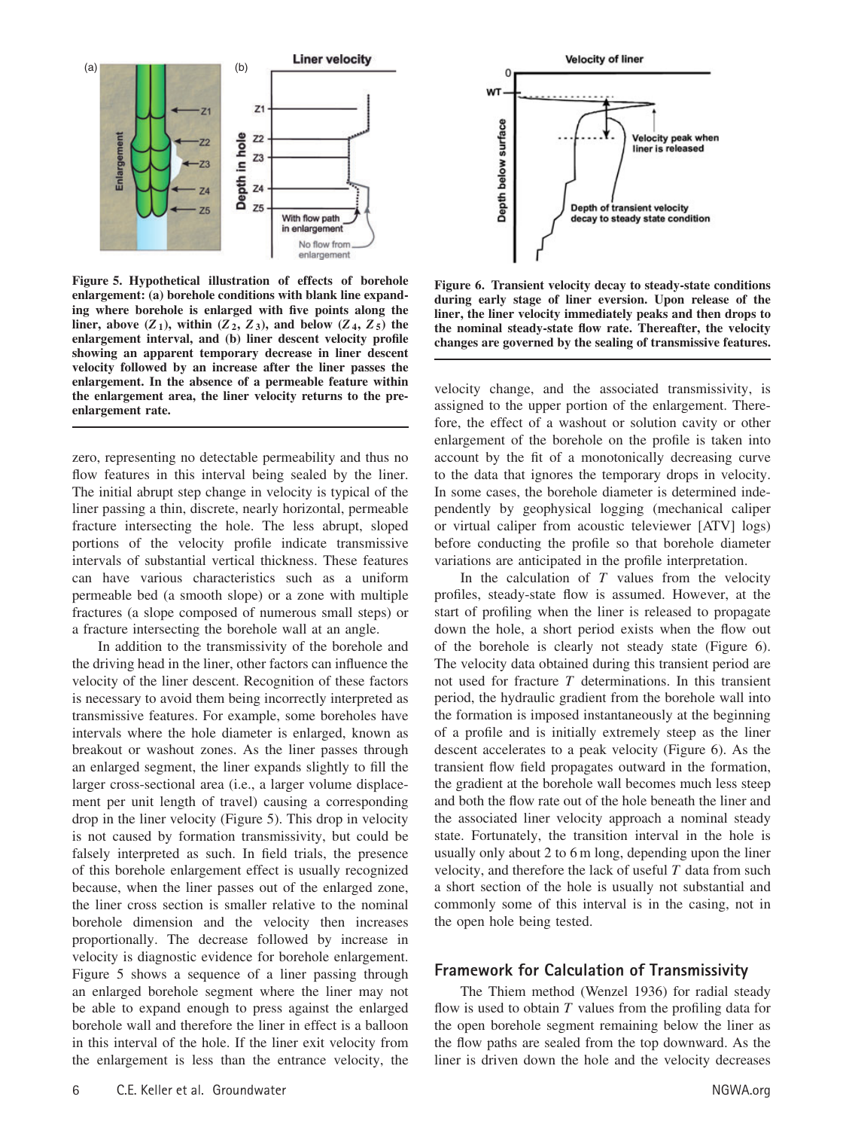

**Figure 5. Hypothetical illustration of effects of borehole enlargement: (a) borehole conditions with blank line expanding where borehole is enlarged with five points along the** liner, above  $(Z_1)$ , within  $(Z_2, Z_3)$ , and below  $(Z_4, Z_5)$  the **enlargement interval, and (b) liner descent velocity profile showing an apparent temporary decrease in liner descent velocity followed by an increase after the liner passes the enlargement. In the absence of a permeable feature within the enlargement area, the liner velocity returns to the preenlargement rate.**

zero, representing no detectable permeability and thus no flow features in this interval being sealed by the liner. The initial abrupt step change in velocity is typical of the liner passing a thin, discrete, nearly horizontal, permeable fracture intersecting the hole. The less abrupt, sloped portions of the velocity profile indicate transmissive intervals of substantial vertical thickness. These features can have various characteristics such as a uniform permeable bed (a smooth slope) or a zone with multiple fractures (a slope composed of numerous small steps) or a fracture intersecting the borehole wall at an angle.

In addition to the transmissivity of the borehole and the driving head in the liner, other factors can influence the velocity of the liner descent. Recognition of these factors is necessary to avoid them being incorrectly interpreted as transmissive features. For example, some boreholes have intervals where the hole diameter is enlarged, known as breakout or washout zones. As the liner passes through an enlarged segment, the liner expands slightly to fill the larger cross-sectional area (i.e., a larger volume displacement per unit length of travel) causing a corresponding drop in the liner velocity (Figure 5). This drop in velocity is not caused by formation transmissivity, but could be falsely interpreted as such. In field trials, the presence of this borehole enlargement effect is usually recognized because, when the liner passes out of the enlarged zone, the liner cross section is smaller relative to the nominal borehole dimension and the velocity then increases proportionally. The decrease followed by increase in velocity is diagnostic evidence for borehole enlargement. Figure 5 shows a sequence of a liner passing through an enlarged borehole segment where the liner may not be able to expand enough to press against the enlarged borehole wall and therefore the liner in effect is a balloon in this interval of the hole. If the liner exit velocity from the enlargement is less than the entrance velocity, the



**Figure 6. Transient velocity decay to steady-state conditions during early stage of liner eversion. Upon release of the liner, the liner velocity immediately peaks and then drops to the nominal steady-state flow rate. Thereafter, the velocity changes are governed by the sealing of transmissive features.**

velocity change, and the associated transmissivity, is assigned to the upper portion of the enlargement. Therefore, the effect of a washout or solution cavity or other enlargement of the borehole on the profile is taken into account by the fit of a monotonically decreasing curve to the data that ignores the temporary drops in velocity. In some cases, the borehole diameter is determined independently by geophysical logging (mechanical caliper or virtual caliper from acoustic televiewer [ATV] logs) before conducting the profile so that borehole diameter variations are anticipated in the profile interpretation.

In the calculation of  $T$  values from the velocity profiles, steady-state flow is assumed. However, at the start of profiling when the liner is released to propagate down the hole, a short period exists when the flow out of the borehole is clearly not steady state (Figure 6). The velocity data obtained during this transient period are not used for fracture *T* determinations. In this transient period, the hydraulic gradient from the borehole wall into the formation is imposed instantaneously at the beginning of a profile and is initially extremely steep as the liner descent accelerates to a peak velocity (Figure 6). As the transient flow field propagates outward in the formation, the gradient at the borehole wall becomes much less steep and both the flow rate out of the hole beneath the liner and the associated liner velocity approach a nominal steady state. Fortunately, the transition interval in the hole is usually only about 2 to 6 m long, depending upon the liner velocity, and therefore the lack of useful *T* data from such a short section of the hole is usually not substantial and commonly some of this interval is in the casing, not in the open hole being tested.

#### **Framework for Calculation of Transmissivity**

The Thiem method (Wenzel 1936) for radial steady flow is used to obtain *T* values from the profiling data for the open borehole segment remaining below the liner as the flow paths are sealed from the top downward. As the liner is driven down the hole and the velocity decreases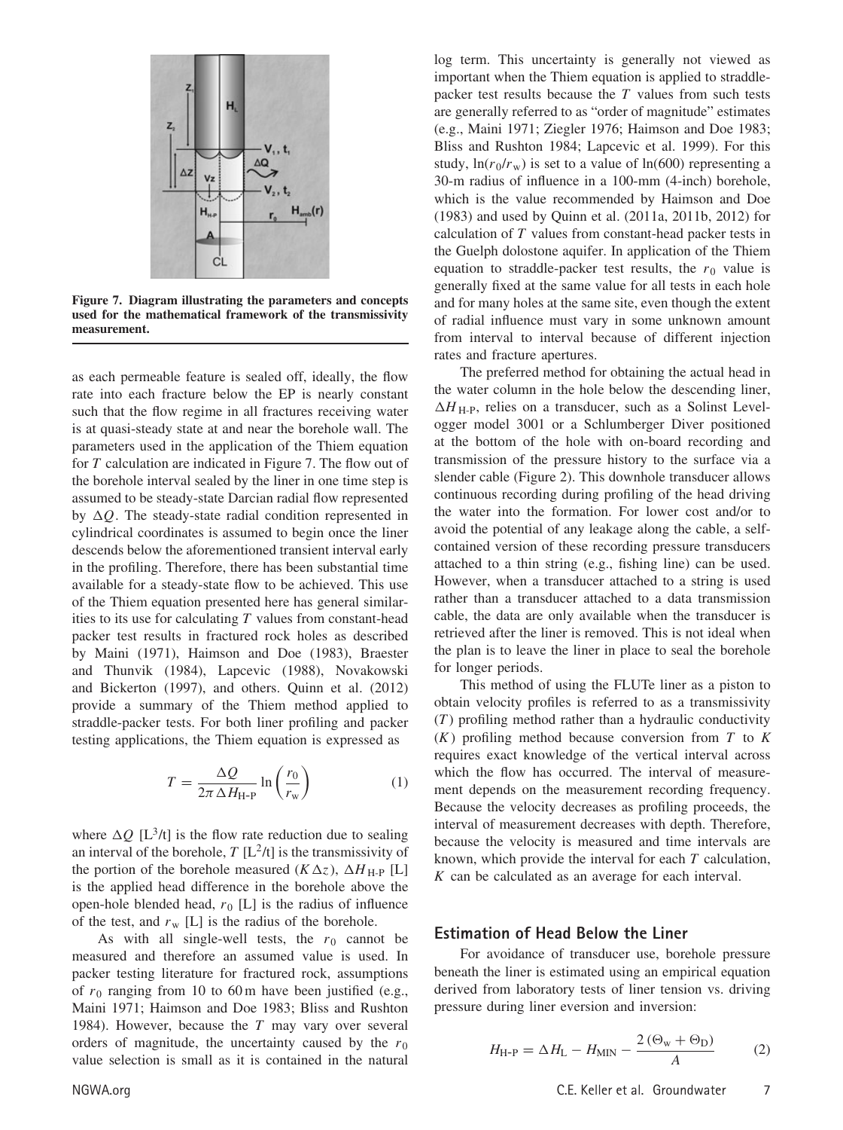

**Figure 7. Diagram illustrating the parameters and concepts used for the mathematical framework of the transmissivity measurement.**

as each permeable feature is sealed off, ideally, the flow rate into each fracture below the EP is nearly constant such that the flow regime in all fractures receiving water is at quasi-steady state at and near the borehole wall. The parameters used in the application of the Thiem equation for *T* calculation are indicated in Figure 7. The flow out of the borehole interval sealed by the liner in one time step is assumed to be steady-state Darcian radial flow represented by  $\Delta Q$ . The steady-state radial condition represented in cylindrical coordinates is assumed to begin once the liner descends below the aforementioned transient interval early in the profiling. Therefore, there has been substantial time available for a steady-state flow to be achieved. This use of the Thiem equation presented here has general similarities to its use for calculating *T* values from constant-head packer test results in fractured rock holes as described by Maini (1971), Haimson and Doe (1983), Braester and Thunvik (1984), Lapcevic (1988), Novakowski and Bickerton (1997), and others. Quinn et al. (2012) provide a summary of the Thiem method applied to straddle-packer tests. For both liner profiling and packer testing applications, the Thiem equation is expressed as

$$
T = \frac{\Delta Q}{2\pi \Delta H_{\text{H-P}}} \ln\left(\frac{r_0}{r_{\text{w}}}\right) \tag{1}
$$

where  $\Delta Q$  [L<sup>3</sup>/t] is the flow rate reduction due to sealing an interval of the borehole,  $T [L^2/t]$  is the transmissivity of the portion of the borehole measured  $(K \Delta z)$ ,  $\Delta H_{\text{H-P}}$  [L] is the applied head difference in the borehole above the open-hole blended head,  $r_0$  [L] is the radius of influence of the test, and  $r_w$  [L] is the radius of the borehole.

As with all single-well tests, the  $r_0$  cannot be measured and therefore an assumed value is used. In packer testing literature for fractured rock, assumptions of  $r_0$  ranging from 10 to 60 m have been justified (e.g., Maini 1971; Haimson and Doe 1983; Bliss and Rushton 1984). However, because the *T* may vary over several orders of magnitude, the uncertainty caused by the  $r_0$ value selection is small as it is contained in the natural

log term. This uncertainty is generally not viewed as important when the Thiem equation is applied to straddlepacker test results because the *T* values from such tests are generally referred to as "order of magnitude" estimates (e.g., Maini 1971; Ziegler 1976; Haimson and Doe 1983; Bliss and Rushton 1984; Lapcevic et al. 1999). For this study,  $ln(r_0/r_w)$  is set to a value of  $ln(600)$  representing a 30-m radius of influence in a 100-mm (4-inch) borehole, which is the value recommended by Haimson and Doe (1983) and used by Quinn et al. (2011a, 2011b, 2012) for calculation of *T* values from constant-head packer tests in the Guelph dolostone aquifer. In application of the Thiem equation to straddle-packer test results, the  $r_0$  value is generally fixed at the same value for all tests in each hole and for many holes at the same site, even though the extent of radial influence must vary in some unknown amount from interval to interval because of different injection rates and fracture apertures.

The preferred method for obtaining the actual head in the water column in the hole below the descending liner,  $\Delta H_{\text{H-P}}$ , relies on a transducer, such as a Solinst Levelogger model 3001 or a Schlumberger Diver positioned at the bottom of the hole with on-board recording and transmission of the pressure history to the surface via a slender cable (Figure 2). This downhole transducer allows continuous recording during profiling of the head driving the water into the formation. For lower cost and/or to avoid the potential of any leakage along the cable, a selfcontained version of these recording pressure transducers attached to a thin string (e.g., fishing line) can be used. However, when a transducer attached to a string is used rather than a transducer attached to a data transmission cable, the data are only available when the transducer is retrieved after the liner is removed. This is not ideal when the plan is to leave the liner in place to seal the borehole for longer periods.

This method of using the FLUTe liner as a piston to obtain velocity profiles is referred to as a transmissivity (*T*) profiling method rather than a hydraulic conductivity (*K*) profiling method because conversion from *T* to *K* requires exact knowledge of the vertical interval across which the flow has occurred. The interval of measurement depends on the measurement recording frequency. Because the velocity decreases as profiling proceeds, the interval of measurement decreases with depth. Therefore, because the velocity is measured and time intervals are known, which provide the interval for each *T* calculation, *K* can be calculated as an average for each interval.

#### **Estimation of Head Below the Liner**

For avoidance of transducer use, borehole pressure beneath the liner is estimated using an empirical equation derived from laboratory tests of liner tension vs. driving pressure during liner eversion and inversion:

$$
H_{\text{H-P}} = \Delta H_{\text{L}} - H_{\text{MIN}} - \frac{2\left(\Theta_{\text{w}} + \Theta_{\text{D}}\right)}{A} \tag{2}
$$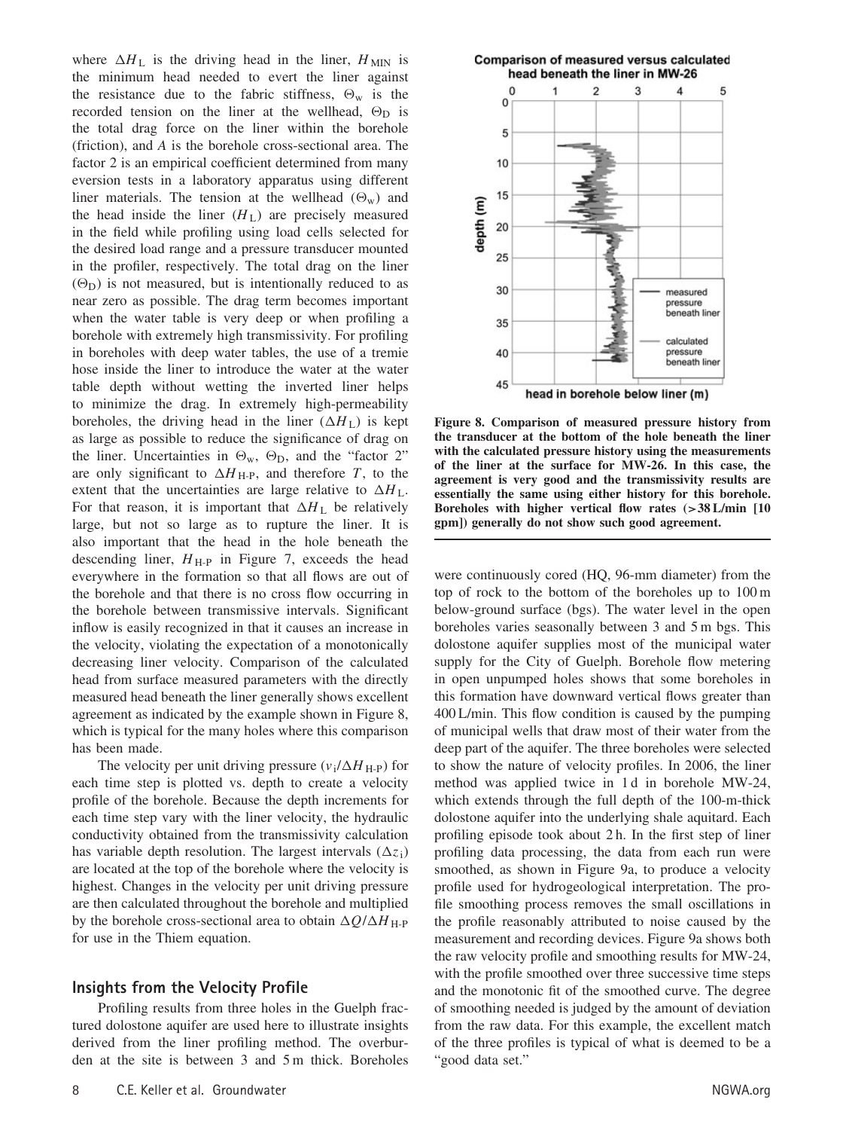where  $\Delta H_{\text{L}}$  is the driving head in the liner,  $H_{\text{MIN}}$  is the minimum head needed to evert the liner against the resistance due to the fabric stiffness,  $\Theta_w$  is the recorded tension on the liner at the wellhead,  $\Theta_{\rm D}$  is the total drag force on the liner within the borehole (friction), and *A* is the borehole cross-sectional area. The factor 2 is an empirical coefficient determined from many eversion tests in a laboratory apparatus using different liner materials. The tension at the wellhead  $(\Theta_w)$  and the head inside the liner  $(H_L)$  are precisely measured in the field while profiling using load cells selected for the desired load range and a pressure transducer mounted in the profiler, respectively. The total drag on the liner  $(\Theta_D)$  is not measured, but is intentionally reduced to as near zero as possible. The drag term becomes important when the water table is very deep or when profiling a borehole with extremely high transmissivity. For profiling in boreholes with deep water tables, the use of a tremie hose inside the liner to introduce the water at the water table depth without wetting the inverted liner helps to minimize the drag. In extremely high-permeability boreholes, the driving head in the liner  $(\Delta H_L)$  is kept as large as possible to reduce the significance of drag on the liner. Uncertainties in  $\Theta_w$ ,  $\Theta_D$ , and the "factor 2" are only significant to  $\Delta H_{\text{H-P}}$ , and therefore *T*, to the extent that the uncertainties are large relative to  $\Delta H_{\text{L}}$ . For that reason, it is important that  $\Delta H_L$  be relatively large, but not so large as to rupture the liner. It is also important that the head in the hole beneath the descending liner,  $H_{\text{H-P}}$  in Figure 7, exceeds the head everywhere in the formation so that all flows are out of the borehole and that there is no cross flow occurring in the borehole between transmissive intervals. Significant inflow is easily recognized in that it causes an increase in the velocity, violating the expectation of a monotonically decreasing liner velocity. Comparison of the calculated head from surface measured parameters with the directly measured head beneath the liner generally shows excellent agreement as indicated by the example shown in Figure 8, which is typical for the many holes where this comparison has been made.

The velocity per unit driving pressure ( $v_i / \Delta H_{\text{H-P}}$ ) for each time step is plotted vs. depth to create a velocity profile of the borehole. Because the depth increments for each time step vary with the liner velocity, the hydraulic conductivity obtained from the transmissivity calculation has variable depth resolution. The largest intervals  $(\Delta z_i)$ are located at the top of the borehole where the velocity is highest. Changes in the velocity per unit driving pressure are then calculated throughout the borehole and multiplied by the borehole cross-sectional area to obtain  $\Delta Q/\Delta H_{\text{H-P}}$ for use in the Thiem equation.

#### **Insights from the Velocity Profile**

Profiling results from three holes in the Guelph fractured dolostone aquifer are used here to illustrate insights derived from the liner profiling method. The overburden at the site is between 3 and 5 m thick. Boreholes



**Figure 8. Comparison of measured pressure history from the transducer at the bottom of the hole beneath the liner with the calculated pressure history using the measurements of the liner at the surface for MW-26. In this case, the agreement is very good and the transmissivity results are essentially the same using either history for this borehole. Boreholes with higher vertical flow rates (***>***38 L/min [10 gpm]) generally do not show such good agreement.**

were continuously cored (HQ, 96-mm diameter) from the top of rock to the bottom of the boreholes up to 100 m below-ground surface (bgs). The water level in the open boreholes varies seasonally between 3 and 5 m bgs. This dolostone aquifer supplies most of the municipal water supply for the City of Guelph. Borehole flow metering in open unpumped holes shows that some boreholes in this formation have downward vertical flows greater than 400 L/min. This flow condition is caused by the pumping of municipal wells that draw most of their water from the deep part of the aquifer. The three boreholes were selected to show the nature of velocity profiles. In 2006, the liner method was applied twice in 1 d in borehole MW-24, which extends through the full depth of the 100-m-thick dolostone aquifer into the underlying shale aquitard. Each profiling episode took about 2 h. In the first step of liner profiling data processing, the data from each run were smoothed, as shown in Figure 9a, to produce a velocity profile used for hydrogeological interpretation. The profile smoothing process removes the small oscillations in the profile reasonably attributed to noise caused by the measurement and recording devices. Figure 9a shows both the raw velocity profile and smoothing results for MW-24, with the profile smoothed over three successive time steps and the monotonic fit of the smoothed curve. The degree of smoothing needed is judged by the amount of deviation from the raw data. For this example, the excellent match of the three profiles is typical of what is deemed to be a "good data set."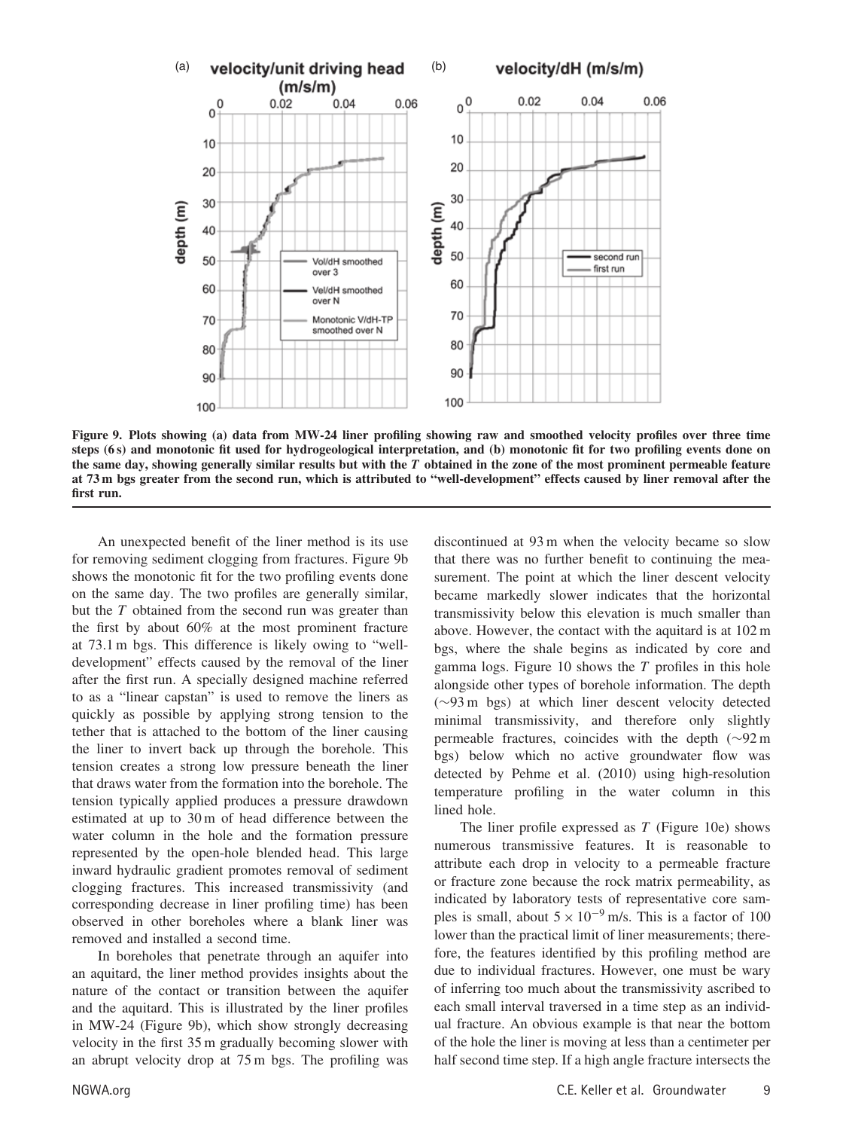

**Figure 9. Plots showing (a) data from MW-24 liner profiling showing raw and smoothed velocity profiles over three time steps (6 s) and monotonic fit used for hydrogeological interpretation, and (b) monotonic fit for two profiling events done on the same day, showing generally similar results but with the** *T* **obtained in the zone of the most prominent permeable feature at 73 m bgs greater from the second run, which is attributed to "well-development" effects caused by liner removal after the first run.**

An unexpected benefit of the liner method is its use for removing sediment clogging from fractures. Figure 9b shows the monotonic fit for the two profiling events done on the same day. The two profiles are generally similar, but the *T* obtained from the second run was greater than the first by about 60% at the most prominent fracture at 73.1 m bgs. This difference is likely owing to "welldevelopment" effects caused by the removal of the liner after the first run. A specially designed machine referred to as a "linear capstan" is used to remove the liners as quickly as possible by applying strong tension to the tether that is attached to the bottom of the liner causing the liner to invert back up through the borehole. This tension creates a strong low pressure beneath the liner that draws water from the formation into the borehole. The tension typically applied produces a pressure drawdown estimated at up to 30 m of head difference between the water column in the hole and the formation pressure represented by the open-hole blended head. This large inward hydraulic gradient promotes removal of sediment clogging fractures. This increased transmissivity (and corresponding decrease in liner profiling time) has been observed in other boreholes where a blank liner was removed and installed a second time.

In boreholes that penetrate through an aquifer into an aquitard, the liner method provides insights about the nature of the contact or transition between the aquifer and the aquitard. This is illustrated by the liner profiles in MW-24 (Figure 9b), which show strongly decreasing velocity in the first 35 m gradually becoming slower with an abrupt velocity drop at 75 m bgs. The profiling was discontinued at 93 m when the velocity became so slow that there was no further benefit to continuing the measurement. The point at which the liner descent velocity became markedly slower indicates that the horizontal transmissivity below this elevation is much smaller than above. However, the contact with the aquitard is at 102 m bgs, where the shale begins as indicated by core and gamma logs. Figure 10 shows the *T* profiles in this hole alongside other types of borehole information. The depth (∼93 m bgs) at which liner descent velocity detected minimal transmissivity, and therefore only slightly permeable fractures, coincides with the depth (∼92 m bgs) below which no active groundwater flow was detected by Pehme et al. (2010) using high-resolution temperature profiling in the water column in this lined hole.

The liner profile expressed as *T* (Figure 10e) shows numerous transmissive features. It is reasonable to attribute each drop in velocity to a permeable fracture or fracture zone because the rock matrix permeability, as indicated by laboratory tests of representative core samples is small, about  $5 \times 10^{-9}$  m/s. This is a factor of 100 lower than the practical limit of liner measurements; therefore, the features identified by this profiling method are due to individual fractures. However, one must be wary of inferring too much about the transmissivity ascribed to each small interval traversed in a time step as an individual fracture. An obvious example is that near the bottom of the hole the liner is moving at less than a centimeter per half second time step. If a high angle fracture intersects the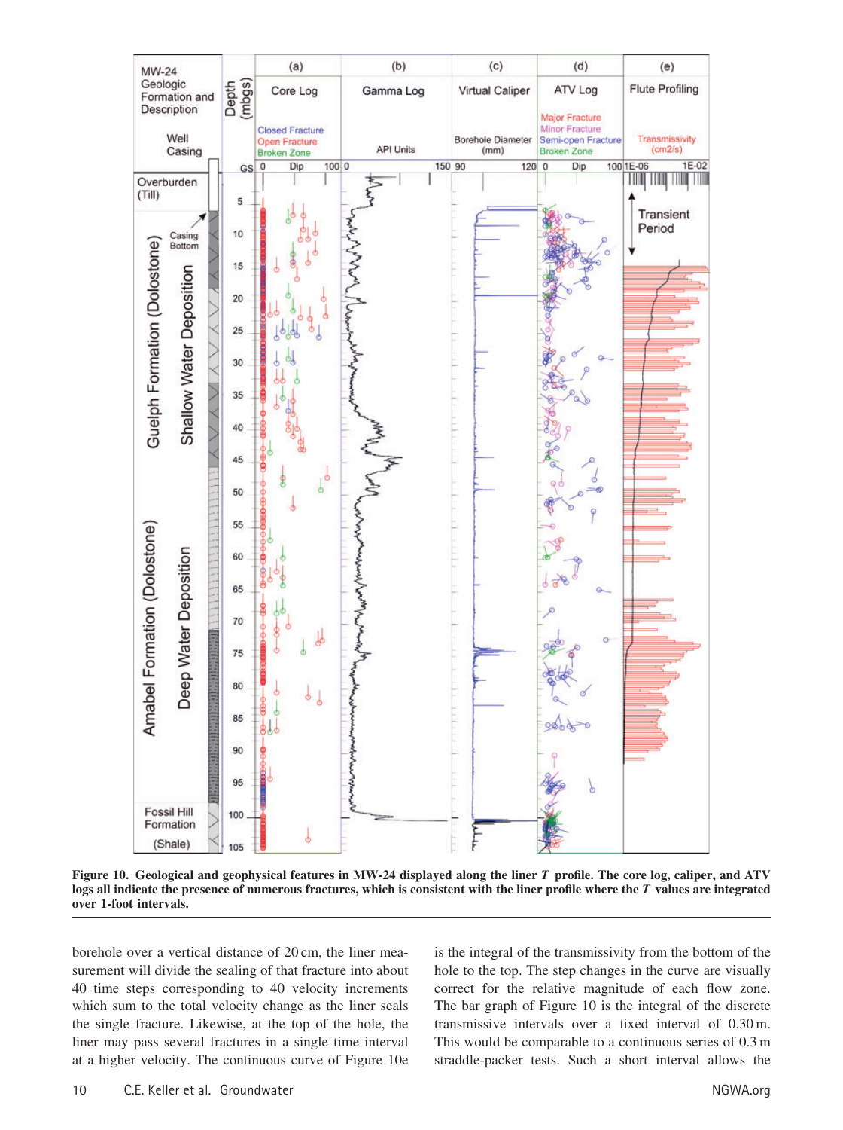

**Figure 10. Geological and geophysical features in MW-24 displayed along the liner** *T* **profile. The core log, caliper, and ATV logs all indicate the presence of numerous fractures, which is consistent with the liner profile where the** *T* **values are integrated over 1-foot intervals.**

borehole over a vertical distance of 20 cm, the liner measurement will divide the sealing of that fracture into about 40 time steps corresponding to 40 velocity increments which sum to the total velocity change as the liner seals the single fracture. Likewise, at the top of the hole, the liner may pass several fractures in a single time interval at a higher velocity. The continuous curve of Figure 10e is the integral of the transmissivity from the bottom of the hole to the top. The step changes in the curve are visually correct for the relative magnitude of each flow zone. The bar graph of Figure 10 is the integral of the discrete transmissive intervals over a fixed interval of 0.30 m. This would be comparable to a continuous series of 0.3 m straddle-packer tests. Such a short interval allows the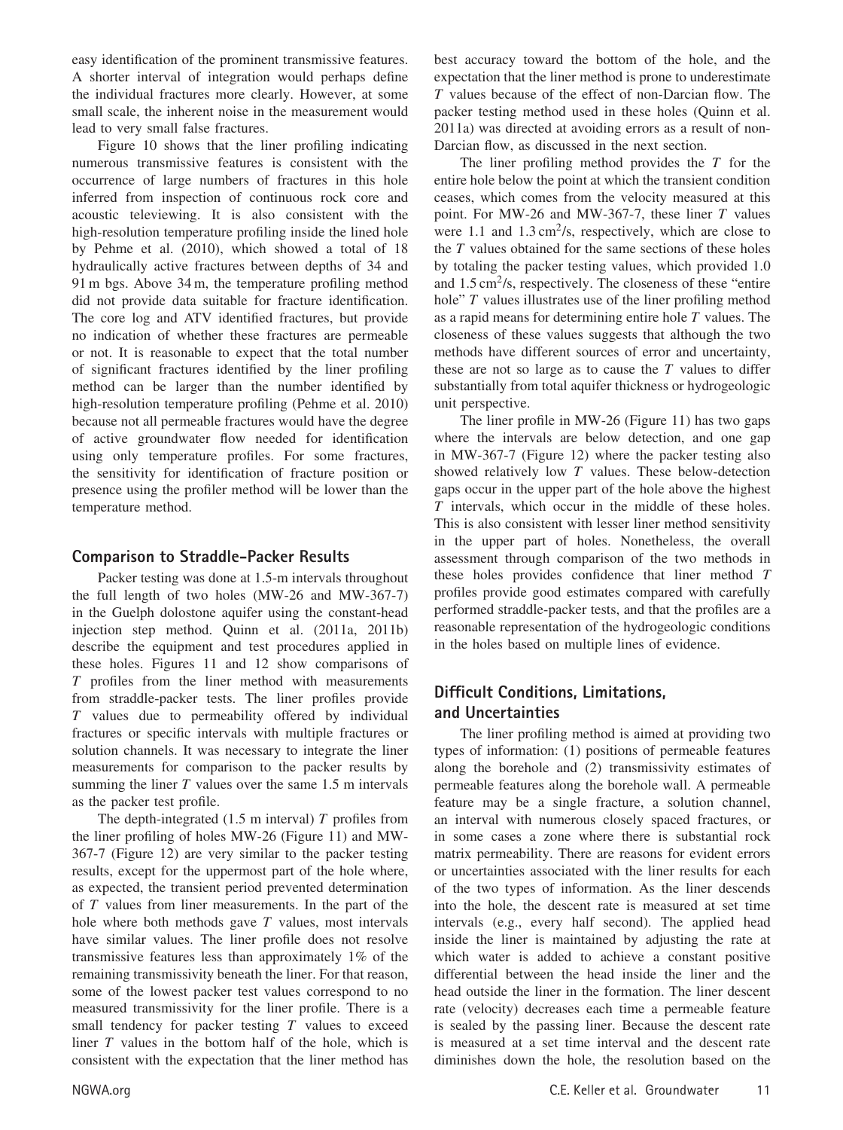easy identification of the prominent transmissive features. A shorter interval of integration would perhaps define the individual fractures more clearly. However, at some small scale, the inherent noise in the measurement would lead to very small false fractures.

Figure 10 shows that the liner profiling indicating numerous transmissive features is consistent with the occurrence of large numbers of fractures in this hole inferred from inspection of continuous rock core and acoustic televiewing. It is also consistent with the high-resolution temperature profiling inside the lined hole by Pehme et al. (2010), which showed a total of 18 hydraulically active fractures between depths of 34 and 91 m bgs. Above 34 m, the temperature profiling method did not provide data suitable for fracture identification. The core log and ATV identified fractures, but provide no indication of whether these fractures are permeable or not. It is reasonable to expect that the total number of significant fractures identified by the liner profiling method can be larger than the number identified by high-resolution temperature profiling (Pehme et al. 2010) because not all permeable fractures would have the degree of active groundwater flow needed for identification using only temperature profiles. For some fractures, the sensitivity for identification of fracture position or presence using the profiler method will be lower than the temperature method.

# **Comparison to Straddle-Packer Results**

Packer testing was done at 1.5-m intervals throughout the full length of two holes (MW-26 and MW-367-7) in the Guelph dolostone aquifer using the constant-head injection step method. Quinn et al. (2011a, 2011b) describe the equipment and test procedures applied in these holes. Figures 11 and 12 show comparisons of *T* profiles from the liner method with measurements from straddle-packer tests. The liner profiles provide *T* values due to permeability offered by individual fractures or specific intervals with multiple fractures or solution channels. It was necessary to integrate the liner measurements for comparison to the packer results by summing the liner *T* values over the same 1.5 m intervals as the packer test profile.

The depth-integrated (1.5 m interval) *T* profiles from the liner profiling of holes MW-26 (Figure 11) and MW-367-7 (Figure 12) are very similar to the packer testing results, except for the uppermost part of the hole where, as expected, the transient period prevented determination of *T* values from liner measurements. In the part of the hole where both methods gave *T* values, most intervals have similar values. The liner profile does not resolve transmissive features less than approximately 1% of the remaining transmissivity beneath the liner. For that reason, some of the lowest packer test values correspond to no measured transmissivity for the liner profile. There is a small tendency for packer testing *T* values to exceed liner *T* values in the bottom half of the hole, which is consistent with the expectation that the liner method has best accuracy toward the bottom of the hole, and the expectation that the liner method is prone to underestimate *T* values because of the effect of non-Darcian flow. The packer testing method used in these holes (Quinn et al. 2011a) was directed at avoiding errors as a result of non-Darcian flow, as discussed in the next section.

The liner profiling method provides the *T* for the entire hole below the point at which the transient condition ceases, which comes from the velocity measured at this point. For MW-26 and MW-367-7, these liner *T* values were 1.1 and  $1.3 \text{ cm}^2/\text{s}$ , respectively, which are close to the *T* values obtained for the same sections of these holes by totaling the packer testing values, which provided 1.0 and  $1.5 \text{ cm}^2/\text{s}$ , respectively. The closeness of these "entire" hole" *T* values illustrates use of the liner profiling method as a rapid means for determining entire hole *T* values. The closeness of these values suggests that although the two methods have different sources of error and uncertainty, these are not so large as to cause the *T* values to differ substantially from total aquifer thickness or hydrogeologic unit perspective.

The liner profile in MW-26 (Figure 11) has two gaps where the intervals are below detection, and one gap in MW-367-7 (Figure 12) where the packer testing also showed relatively low *T* values. These below-detection gaps occur in the upper part of the hole above the highest *T* intervals, which occur in the middle of these holes. This is also consistent with lesser liner method sensitivity in the upper part of holes. Nonetheless, the overall assessment through comparison of the two methods in these holes provides confidence that liner method *T* profiles provide good estimates compared with carefully performed straddle-packer tests, and that the profiles are a reasonable representation of the hydrogeologic conditions in the holes based on multiple lines of evidence.

# **Difficult Conditions, Limitations, and Uncertainties**

The liner profiling method is aimed at providing two types of information: (1) positions of permeable features along the borehole and (2) transmissivity estimates of permeable features along the borehole wall. A permeable feature may be a single fracture, a solution channel, an interval with numerous closely spaced fractures, or in some cases a zone where there is substantial rock matrix permeability. There are reasons for evident errors or uncertainties associated with the liner results for each of the two types of information. As the liner descends into the hole, the descent rate is measured at set time intervals (e.g., every half second). The applied head inside the liner is maintained by adjusting the rate at which water is added to achieve a constant positive differential between the head inside the liner and the head outside the liner in the formation. The liner descent rate (velocity) decreases each time a permeable feature is sealed by the passing liner. Because the descent rate is measured at a set time interval and the descent rate diminishes down the hole, the resolution based on the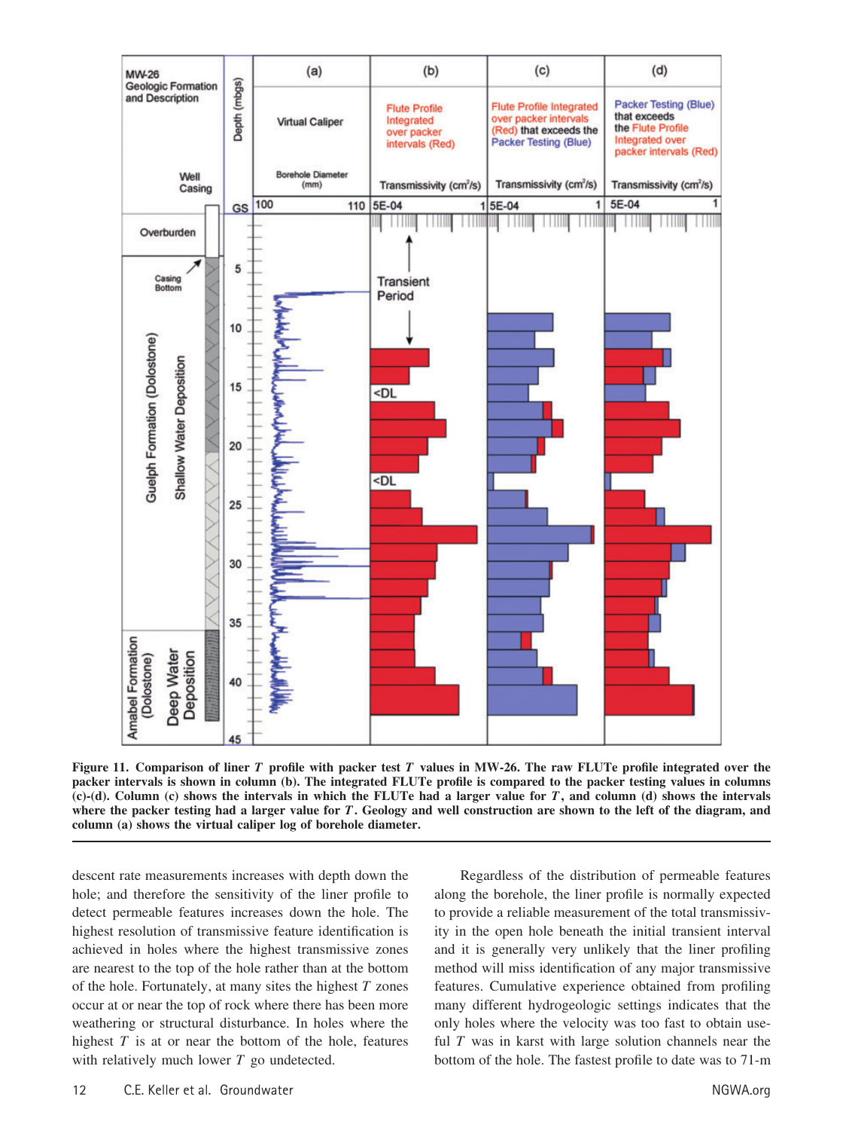

**Figure 11. Comparison of liner** *T* **profile with packer test** *T* **values in MW-26. The raw FLUTe profile integrated over the packer intervals is shown in column (b). The integrated FLUTe profile is compared to the packer testing values in columns (c)-(d). Column (c) shows the intervals in which the FLUTe had a larger value for** *T***, and column (d) shows the intervals where the packer testing had a larger value for** *T***. Geology and well construction are shown to the left of the diagram, and column (a) shows the virtual caliper log of borehole diameter.**

descent rate measurements increases with depth down the hole; and therefore the sensitivity of the liner profile to detect permeable features increases down the hole. The highest resolution of transmissive feature identification is achieved in holes where the highest transmissive zones are nearest to the top of the hole rather than at the bottom of the hole. Fortunately, at many sites the highest *T* zones occur at or near the top of rock where there has been more weathering or structural disturbance. In holes where the highest *T* is at or near the bottom of the hole, features with relatively much lower *T* go undetected.

Regardless of the distribution of permeable features along the borehole, the liner profile is normally expected to provide a reliable measurement of the total transmissivity in the open hole beneath the initial transient interval and it is generally very unlikely that the liner profiling method will miss identification of any major transmissive features. Cumulative experience obtained from profiling many different hydrogeologic settings indicates that the only holes where the velocity was too fast to obtain useful *T* was in karst with large solution channels near the bottom of the hole. The fastest profile to date was to 71-m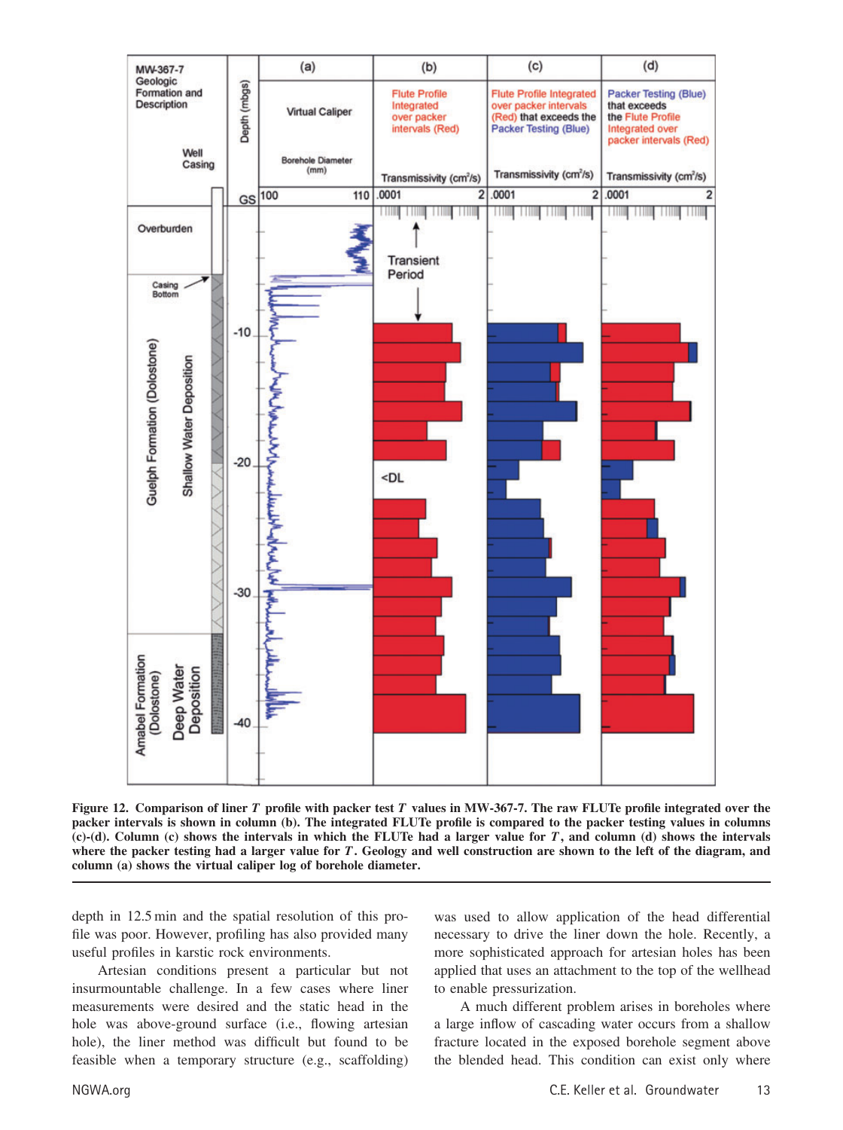

**Figure 12. Comparison of liner** *T* **profile with packer test** *T* **values in MW-367-7. The raw FLUTe profile integrated over the packer intervals is shown in column (b). The integrated FLUTe profile is compared to the packer testing values in columns (c)-(d). Column (c) shows the intervals in which the FLUTe had a larger value for** *T***, and column (d) shows the intervals where the packer testing had a larger value for** *T***. Geology and well construction are shown to the left of the diagram, and column (a) shows the virtual caliper log of borehole diameter.**

depth in 12.5 min and the spatial resolution of this profile was poor. However, profiling has also provided many useful profiles in karstic rock environments.

Artesian conditions present a particular but not insurmountable challenge. In a few cases where liner measurements were desired and the static head in the hole was above-ground surface (i.e., flowing artesian hole), the liner method was difficult but found to be feasible when a temporary structure (e.g., scaffolding)

was used to allow application of the head differential necessary to drive the liner down the hole. Recently, a more sophisticated approach for artesian holes has been applied that uses an attachment to the top of the wellhead to enable pressurization.

A much different problem arises in boreholes where a large inflow of cascading water occurs from a shallow fracture located in the exposed borehole segment above the blended head. This condition can exist only where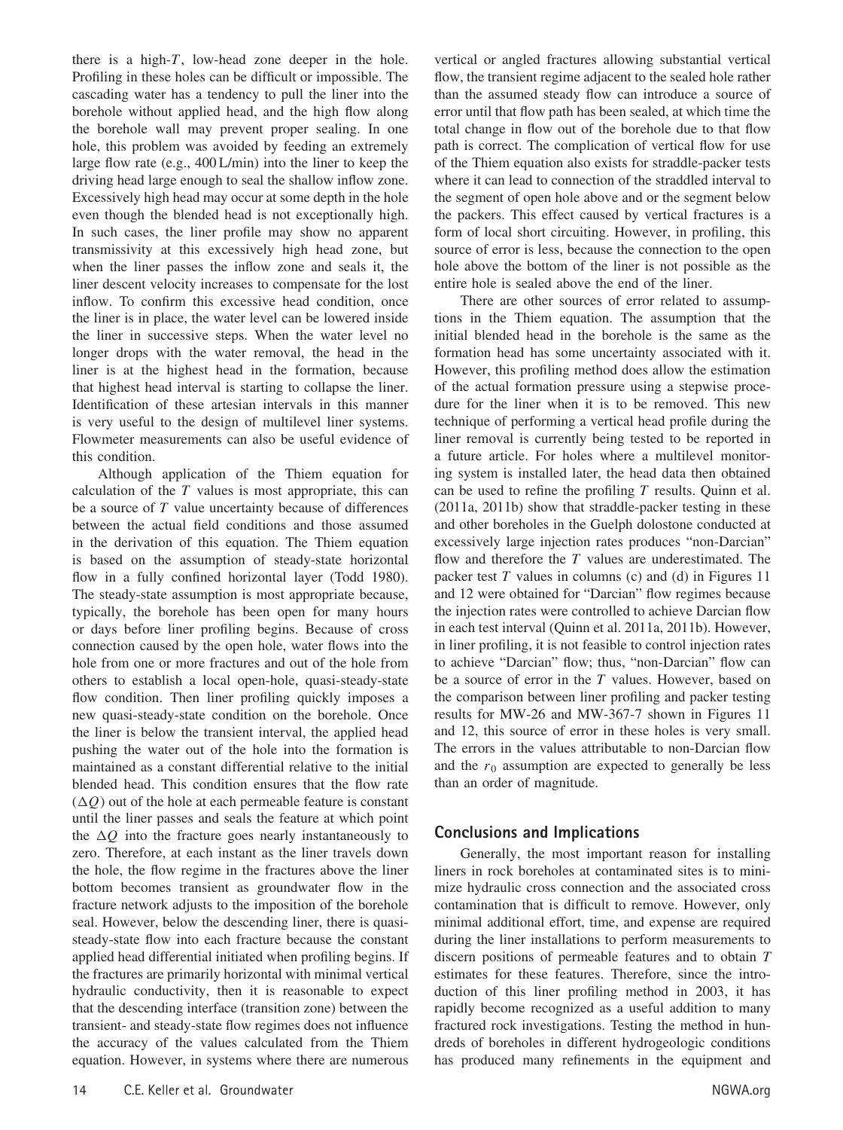there is a high-*T*, low-head zone deeper in the hole. Profiling in these holes can be difficult or impossible. The cascading water has a tendency to pull the liner into the borehole without applied head, and the high flow along the borehole wall may prevent proper sealing. In one hole, this problem was avoided by feeding an extremely large flow rate (e.g., 400 L/min) into the liner to keep the driving head large enough to seal the shallow inflow zone. Excessively high head may occur at some depth in the hole even though the blended head is not exceptionally high. In such cases, the liner profile may show no apparent transmissivity at this excessively high head zone, but when the liner passes the inflow zone and seals it, the liner descent velocity increases to compensate for the lost inflow. To confirm this excessive head condition, once the liner is in place, the water level can be lowered inside the liner in successive steps. When the water level no longer drops with the water removal, the head in the liner is at the highest head in the formation, because that highest head interval is starting to collapse the liner. Identification of these artesian intervals in this manner is very useful to the design of multilevel liner systems. Flowmeter measurements can also be useful evidence of this condition.

Although application of the Thiem equation for calculation of the *T* values is most appropriate, this can be a source of *T* value uncertainty because of differences between the actual field conditions and those assumed in the derivation of this equation. The Thiem equation is based on the assumption of steady-state horizontal flow in a fully confined horizontal layer (Todd 1980). The steady-state assumption is most appropriate because, typically, the borehole has been open for many hours or days before liner profiling begins. Because of cross connection caused by the open hole, water flows into the hole from one or more fractures and out of the hole from others to establish a local open-hole, quasi-steady-state flow condition. Then liner profiling quickly imposes a new quasi-steady-state condition on the borehole. Once the liner is below the transient interval, the applied head pushing the water out of the hole into the formation is maintained as a constant differential relative to the initial blended head. This condition ensures that the flow rate  $(\Delta Q)$  out of the hole at each permeable feature is constant until the liner passes and seals the feature at which point the  $\Delta Q$  into the fracture goes nearly instantaneously to zero. Therefore, at each instant as the liner travels down the hole, the flow regime in the fractures above the liner bottom becomes transient as groundwater flow in the fracture network adjusts to the imposition of the borehole seal. However, below the descending liner, there is quasisteady-state flow into each fracture because the constant applied head differential initiated when profiling begins. If the fractures are primarily horizontal with minimal vertical hydraulic conductivity, then it is reasonable to expect that the descending interface (transition zone) between the transient- and steady-state flow regimes does not influence the accuracy of the values calculated from the Thiem equation. However, in systems where there are numerous vertical or angled fractures allowing substantial vertical flow, the transient regime adjacent to the sealed hole rather than the assumed steady flow can introduce a source of error until that flow path has been sealed, at which time the total change in flow out of the borehole due to that flow path is correct. The complication of vertical flow for use of the Thiem equation also exists for straddle-packer tests where it can lead to connection of the straddled interval to the segment of open hole above and or the segment below the packers. This effect caused by vertical fractures is a form of local short circuiting. However, in profiling, this source of error is less, because the connection to the open hole above the bottom of the liner is not possible as the entire hole is sealed above the end of the liner.

There are other sources of error related to assumptions in the Thiem equation. The assumption that the initial blended head in the borehole is the same as the formation head has some uncertainty associated with it. However, this profiling method does allow the estimation of the actual formation pressure using a stepwise procedure for the liner when it is to be removed. This new technique of performing a vertical head profile during the liner removal is currently being tested to be reported in a future article. For holes where a multilevel monitoring system is installed later, the head data then obtained can be used to refine the profiling *T* results. Quinn et al. (2011a, 2011b) show that straddle-packer testing in these and other boreholes in the Guelph dolostone conducted at excessively large injection rates produces "non-Darcian" flow and therefore the *T* values are underestimated. The packer test *T* values in columns (c) and (d) in Figures 11 and 12 were obtained for "Darcian" flow regimes because the injection rates were controlled to achieve Darcian flow in each test interval (Quinn et al. 2011a, 2011b). However, in liner profiling, it is not feasible to control injection rates to achieve "Darcian" flow; thus, "non-Darcian" flow can be a source of error in the *T* values. However, based on the comparison between liner profiling and packer testing results for MW-26 and MW-367-7 shown in Figures 11 and 12, this source of error in these holes is very small. The errors in the values attributable to non-Darcian flow and the  $r_0$  assumption are expected to generally be less than an order of magnitude.

# **Conclusions and Implications**

Generally, the most important reason for installing liners in rock boreholes at contaminated sites is to minimize hydraulic cross connection and the associated cross contamination that is difficult to remove. However, only minimal additional effort, time, and expense are required during the liner installations to perform measurements to discern positions of permeable features and to obtain *T* estimates for these features. Therefore, since the introduction of this liner profiling method in 2003, it has rapidly become recognized as a useful addition to many fractured rock investigations. Testing the method in hundreds of boreholes in different hydrogeologic conditions has produced many refinements in the equipment and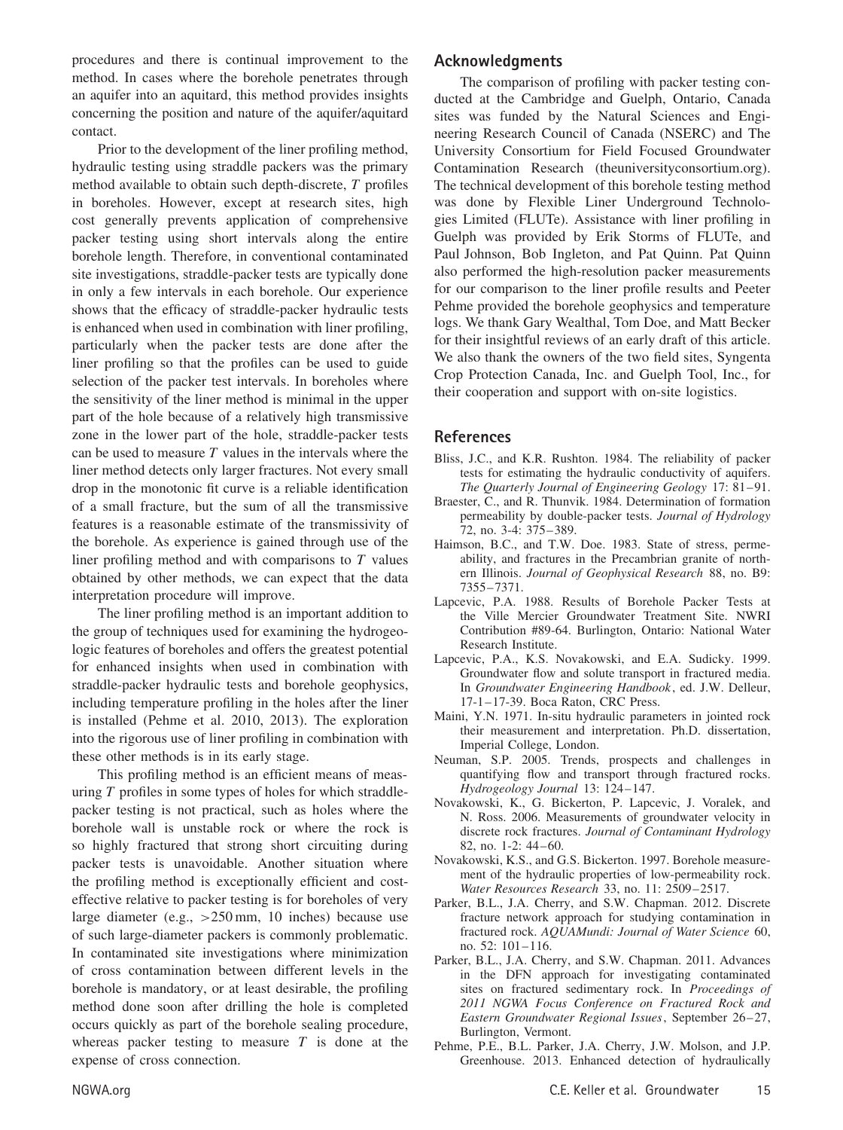procedures and there is continual improvement to the method. In cases where the borehole penetrates through an aquifer into an aquitard, this method provides insights concerning the position and nature of the aquifer/aquitard contact.

Prior to the development of the liner profiling method, hydraulic testing using straddle packers was the primary method available to obtain such depth-discrete, *T* profiles in boreholes. However, except at research sites, high cost generally prevents application of comprehensive packer testing using short intervals along the entire borehole length. Therefore, in conventional contaminated site investigations, straddle-packer tests are typically done in only a few intervals in each borehole. Our experience shows that the efficacy of straddle-packer hydraulic tests is enhanced when used in combination with liner profiling, particularly when the packer tests are done after the liner profiling so that the profiles can be used to guide selection of the packer test intervals. In boreholes where the sensitivity of the liner method is minimal in the upper part of the hole because of a relatively high transmissive zone in the lower part of the hole, straddle-packer tests can be used to measure *T* values in the intervals where the liner method detects only larger fractures. Not every small drop in the monotonic fit curve is a reliable identification of a small fracture, but the sum of all the transmissive features is a reasonable estimate of the transmissivity of the borehole. As experience is gained through use of the liner profiling method and with comparisons to *T* values obtained by other methods, we can expect that the data interpretation procedure will improve.

The liner profiling method is an important addition to the group of techniques used for examining the hydrogeologic features of boreholes and offers the greatest potential for enhanced insights when used in combination with straddle-packer hydraulic tests and borehole geophysics, including temperature profiling in the holes after the liner is installed (Pehme et al. 2010, 2013). The exploration into the rigorous use of liner profiling in combination with these other methods is in its early stage.

This profiling method is an efficient means of measuring *T* profiles in some types of holes for which straddlepacker testing is not practical, such as holes where the borehole wall is unstable rock or where the rock is so highly fractured that strong short circuiting during packer tests is unavoidable. Another situation where the profiling method is exceptionally efficient and costeffective relative to packer testing is for boreholes of very large diameter (e.g., *>*250 mm, 10 inches) because use of such large-diameter packers is commonly problematic. In contaminated site investigations where minimization of cross contamination between different levels in the borehole is mandatory, or at least desirable, the profiling method done soon after drilling the hole is completed occurs quickly as part of the borehole sealing procedure, whereas packer testing to measure *T* is done at the expense of cross connection.

### **Acknowledgments**

The comparison of profiling with packer testing conducted at the Cambridge and Guelph, Ontario, Canada sites was funded by the Natural Sciences and Engineering Research Council of Canada (NSERC) and The University Consortium for Field Focused Groundwater Contamination Research (theuniversityconsortium.org). The technical development of this borehole testing method was done by Flexible Liner Underground Technologies Limited (FLUTe). Assistance with liner profiling in Guelph was provided by Erik Storms of FLUTe, and Paul Johnson, Bob Ingleton, and Pat Quinn. Pat Quinn also performed the high-resolution packer measurements for our comparison to the liner profile results and Peeter Pehme provided the borehole geophysics and temperature logs. We thank Gary Wealthal, Tom Doe, and Matt Becker for their insightful reviews of an early draft of this article. We also thank the owners of the two field sites, Syngenta Crop Protection Canada, Inc. and Guelph Tool, Inc., for their cooperation and support with on-site logistics.

# **References**

- Bliss, J.C., and K.R. Rushton. 1984. The reliability of packer tests for estimating the hydraulic conductivity of aquifers. *The Quarterly Journal of Engineering Geology* 17: 81–91.
- Braester, C., and R. Thunvik. 1984. Determination of formation permeability by double-packer tests. *Journal of Hydrology* 72, no. 3-4: 375–389.
- Haimson, B.C., and T.W. Doe. 1983. State of stress, permeability, and fractures in the Precambrian granite of northern Illinois. *Journal of Geophysical Research* 88, no. B9: 7355–7371.
- Lapcevic, P.A. 1988. Results of Borehole Packer Tests at the Ville Mercier Groundwater Treatment Site. NWRI Contribution #89-64. Burlington, Ontario: National Water Research Institute.
- Lapcevic, P.A., K.S. Novakowski, and E.A. Sudicky. 1999. Groundwater flow and solute transport in fractured media. In *Groundwater Engineering Handbook*, ed. J.W. Delleur, 17-1–17-39. Boca Raton, CRC Press.
- Maini, Y.N. 1971. In-situ hydraulic parameters in jointed rock their measurement and interpretation. Ph.D. dissertation, Imperial College, London.
- Neuman, S.P. 2005. Trends, prospects and challenges in quantifying flow and transport through fractured rocks. *Hydrogeology Journal* 13: 124–147.
- Novakowski, K., G. Bickerton, P. Lapcevic, J. Voralek, and N. Ross. 2006. Measurements of groundwater velocity in discrete rock fractures. *Journal of Contaminant Hydrology* 82, no. 1-2: 44–60.
- Novakowski, K.S., and G.S. Bickerton. 1997. Borehole measurement of the hydraulic properties of low-permeability rock. *Water Resources Research* 33, no. 11: 2509–2517.
- Parker, B.L., J.A. Cherry, and S.W. Chapman. 2012. Discrete fracture network approach for studying contamination in fractured rock. *AQUAMundi: Journal of Water Science* 60, no. 52: 101–116.
- Parker, B.L., J.A. Cherry, and S.W. Chapman. 2011. Advances in the DFN approach for investigating contaminated sites on fractured sedimentary rock. In *Proceedings of 2011 NGWA Focus Conference on Fractured Rock and Eastern Groundwater Regional Issues*, September 26–27, Burlington, Vermont.
- Pehme, P.E., B.L. Parker, J.A. Cherry, J.W. Molson, and J.P. Greenhouse. 2013. Enhanced detection of hydraulically